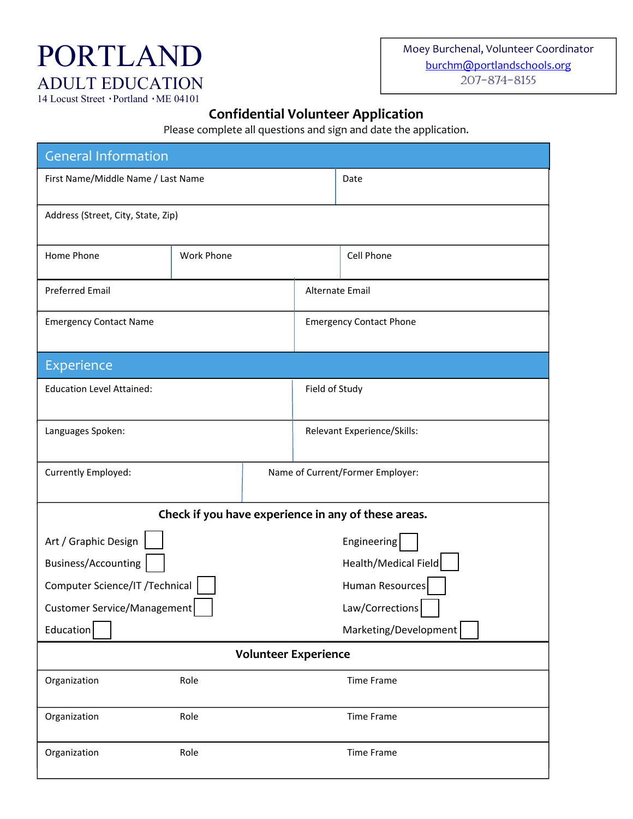## PORTLAND ADULT EDUCATION 14 Locust Street · Portland · ME 04101

## **Confidential Volunteer Application**

Please complete all questions and sign and date the application.

| <b>General Information</b>                          |                   |                   |                                |                                  |  |  |
|-----------------------------------------------------|-------------------|-------------------|--------------------------------|----------------------------------|--|--|
| First Name/Middle Name / Last Name                  |                   |                   | Date                           |                                  |  |  |
| Address (Street, City, State, Zip)                  |                   |                   |                                |                                  |  |  |
|                                                     |                   |                   |                                |                                  |  |  |
| Home Phone                                          | <b>Work Phone</b> |                   |                                | Cell Phone                       |  |  |
| <b>Preferred Email</b>                              |                   |                   | Alternate Email                |                                  |  |  |
| <b>Emergency Contact Name</b>                       |                   |                   | <b>Emergency Contact Phone</b> |                                  |  |  |
| Experience                                          |                   |                   |                                |                                  |  |  |
| <b>Education Level Attained:</b>                    |                   |                   | Field of Study                 |                                  |  |  |
| Languages Spoken:                                   |                   |                   | Relevant Experience/Skills:    |                                  |  |  |
| Currently Employed:                                 |                   |                   |                                | Name of Current/Former Employer: |  |  |
| Check if you have experience in any of these areas. |                   |                   |                                |                                  |  |  |
| Art / Graphic Design<br>Engineering                 |                   |                   |                                |                                  |  |  |
| Business/Accounting                                 |                   |                   |                                | Health/Medical Field             |  |  |
| Computer Science/IT /Technical                      |                   |                   | Human Resources                |                                  |  |  |
| Customer Service/Management                         |                   |                   | Law/Corrections                |                                  |  |  |
| Education<br>Marketing/Development                  |                   |                   |                                |                                  |  |  |
| <b>Volunteer Experience</b>                         |                   |                   |                                |                                  |  |  |
| Organization                                        | Role              | <b>Time Frame</b> |                                |                                  |  |  |
| Organization                                        | Role              | Time Frame        |                                |                                  |  |  |
| Organization                                        | Role              | <b>Time Frame</b> |                                |                                  |  |  |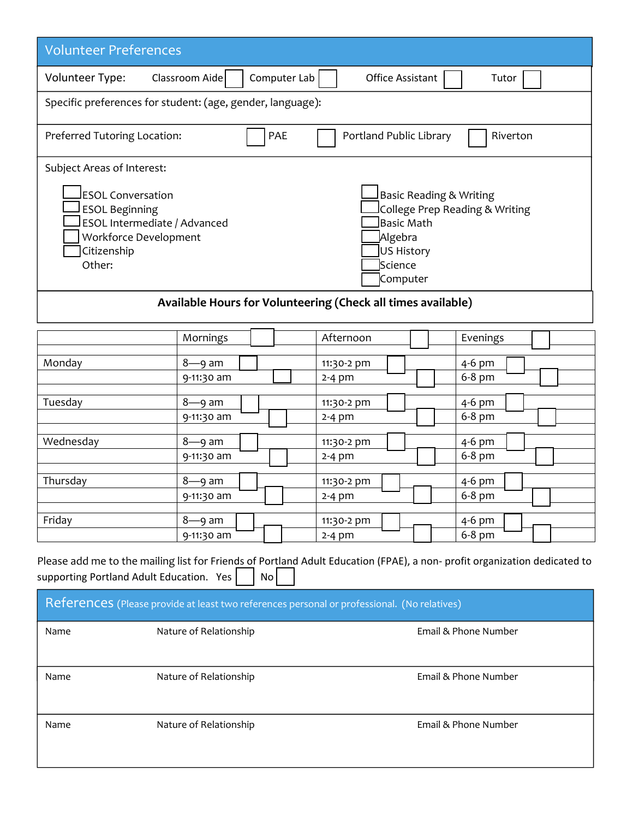| <b>Volunteer Preferences</b>                                                                                                                                                                                                                                                     |                                                              |              |                         |                  |                  |  |
|----------------------------------------------------------------------------------------------------------------------------------------------------------------------------------------------------------------------------------------------------------------------------------|--------------------------------------------------------------|--------------|-------------------------|------------------|------------------|--|
| Volunteer Type:                                                                                                                                                                                                                                                                  | Classroom Aide                                               | Computer Lab |                         | Office Assistant | Tutor            |  |
|                                                                                                                                                                                                                                                                                  | Specific preferences for student: (age, gender, language):   |              |                         |                  |                  |  |
| Preferred Tutoring Location:                                                                                                                                                                                                                                                     |                                                              | PAE          | Portland Public Library |                  | Riverton         |  |
| Subject Areas of Interest:                                                                                                                                                                                                                                                       |                                                              |              |                         |                  |                  |  |
| <b>ESOL Conversation</b><br><b>Basic Reading &amp; Writing</b><br><b>ESOL Beginning</b><br>College Prep Reading & Writing<br>ESOL Intermediate / Advanced<br><b>Basic Math</b><br>Workforce Development<br>Algebra<br>Citizenship<br>US History<br>Other:<br>Science<br>Computer |                                                              |              |                         |                  |                  |  |
|                                                                                                                                                                                                                                                                                  | Available Hours for Volunteering (Check all times available) |              |                         |                  |                  |  |
|                                                                                                                                                                                                                                                                                  | Mornings                                                     |              | Afternoon               |                  | Evenings         |  |
| Monday                                                                                                                                                                                                                                                                           | $8 - 9$ am                                                   |              | 11:30-2 pm              |                  | 4-6 pm           |  |
|                                                                                                                                                                                                                                                                                  | 9-11:30 am                                                   |              | $2-4$ pm                |                  | 6-8 pm           |  |
| Tuesday                                                                                                                                                                                                                                                                          | $8 - 9$ am                                                   |              | 11:30-2 pm              |                  | 4-6 pm           |  |
|                                                                                                                                                                                                                                                                                  | 9-11:30 am                                                   |              | $2-4$ pm                |                  | 6-8 pm           |  |
| Wednesday                                                                                                                                                                                                                                                                        | $8 - 9$ am<br>9-11:30 am                                     |              | 11:30-2 pm<br>$2-4$ pm  |                  | 4-6 pm<br>6-8 pm |  |
|                                                                                                                                                                                                                                                                                  |                                                              |              |                         |                  |                  |  |
| Thursday                                                                                                                                                                                                                                                                         | $8 - 9$ am                                                   |              | 11:30-2 pm              |                  | $4-6$ pm         |  |
|                                                                                                                                                                                                                                                                                  | 9-11:30 am                                                   |              | $2-4$ pm                |                  | 6-8 pm           |  |
| Friday                                                                                                                                                                                                                                                                           | $8 - 9$ am                                                   |              | 11:30-2 pm              |                  | 4-6 pm           |  |
|                                                                                                                                                                                                                                                                                  | 9-11:30 am                                                   |              | $2-4$ pm                |                  | 6-8 pm           |  |

Please add me to the mailing list for Friends of Portland Adult Education (FPAE), a non- profit organization dedicated to supporting Portland Adult Education. Yes  $\Box$  No $\Box$ supporting Portland Adult Education. Yes

| References (Please provide at least two references personal or professional. (No relatives) |                        |                      |  |
|---------------------------------------------------------------------------------------------|------------------------|----------------------|--|
| Name                                                                                        | Nature of Relationship | Email & Phone Number |  |
| Name                                                                                        | Nature of Relationship | Email & Phone Number |  |
| Name                                                                                        | Nature of Relationship | Email & Phone Number |  |